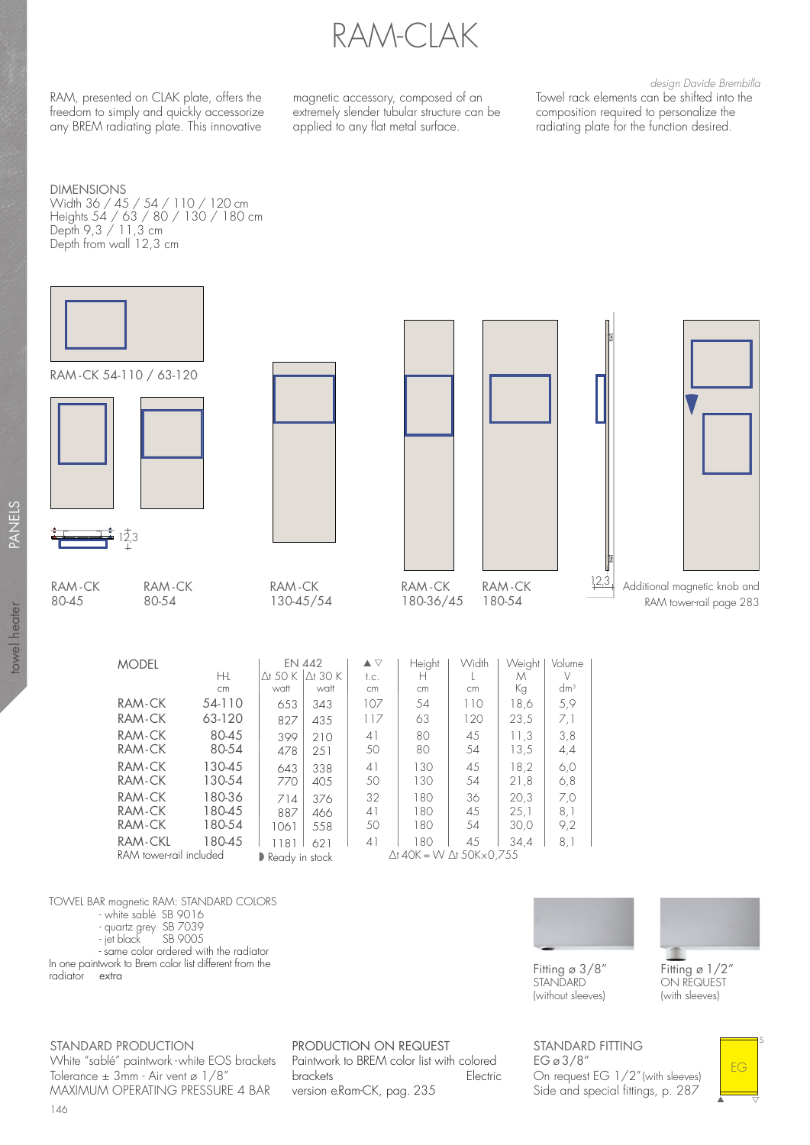RAM-CLAK

RAM, presented on CLAK plate, offers the freedom to simply and quickly accessorize any BREM radiating plate. This innovative

magnetic accessory, composed of an extremely slender tubular structure can be applied to any flat metal surface.

design Davide Brembilla Towel rack elements can be shifted into the composition required to personalize the radiating plate for the function desired.

DIMENSIONS Width 36 / 45 / 54 / 110 / 120 cm

Heights 54 / 63 / 80 / 130 / 180 cm Depth 9,3 / 11,3 cm Depth from wall 12,3 cm



399 210<br>478 251 251

80-45 80-54 130-45 130-54 180-36 180-45 180-54 180-45

 $\begin{array}{|c|c|c|} \hline 643 & 338 \\ \hline 770 & 405 \\ \hline \end{array}$ 405

 $\begin{array}{|c|c|c|}\n714 & 376 \\
887 & 466\n\end{array}$ 466 1061 558 1181 621  $\blacktriangleright$  Ready in stock

TOWEL BAR magnetic RAM: STANDARD COLORS

RAM tower-rail included

- white sablé SB 9016

RAM-CK RAM-CK RAM-CK RAM-CK RAM-CK RAM-CK RAM-CK RAM-CKL

- quartz grey SB 7039

SB 9005

- same color ordered with the radiator

In one paintwork to Brem color list different from the radiator  $\epsilon$  extra radiator

∆t 40K = W ∆t 50K x 0,755 117 | 63 | 120 | 23,5 | 7,1 41 80 45 11,3 3,8  $13.5$ 41 | 130 | 45 | 18,2 | 6,0<br>50 | 130 | 54 | 21,8 | 6,8  $130 \mid 54 \mid 21,8 \mid 6,8$ 32 180 36 20,3 7,0 41 | 180 | 45 | 25,1 | 8,1<br>50 | 180 | 54 | 30,0 | 9,2  $30,0$ 41 | 180 | 45 | 34,4 | 8,1



Fitting  $\sigma$  3/8" STANDARD (without sleeves)

ON REQUEST (with sleeves)

STANDARD PRODUCTION White "sablé" paintwork - white EOS brackets Tolerance  $\pm$  3mm - Air vent ø 1/8" MAXIMUM OPERATING PRESSURE 4 BAR

 brackets Electric PRODUCTION ON REQUEST Paintwork to BREM color list with colored version e.Ram-CK, pag. 235

STANDARD FITTING EG ø 3/8" On request EG 1/2" (with sleeves) Side and special fittings, p. 287



towel heater PANELS towel heater

**STANK**